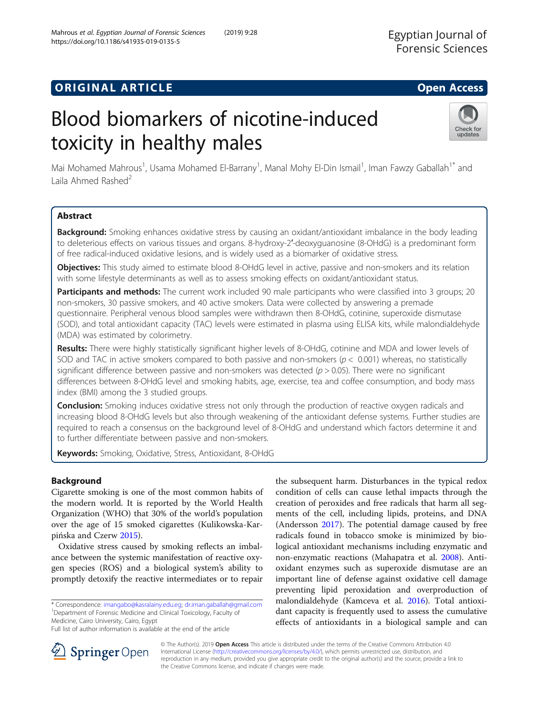# Blood biomarkers of nicotine-induced toxicity in healthy males



Mai Mohamed Mahrous<sup>1</sup>, Usama Mohamed El-Barrany<sup>1</sup>, Manal Mohy El-Din Ismail<sup>1</sup>, Iman Fawzy Gaballah<sup>1\*</sup> and Laila Ahmed Rashed<sup>2</sup>

# Abstract

**Background:** Smoking enhances oxidative stress by causing an oxidant/antioxidant imbalance in the body leading to deleterious effects on various tissues and organs. 8-hydroxy-2′-deoxyguanosine (8-OHdG) is a predominant form of free radical-induced oxidative lesions, and is widely used as a biomarker of oxidative stress.

Objectives: This study aimed to estimate blood 8-OHdG level in active, passive and non-smokers and its relation with some lifestyle determinants as well as to assess smoking effects on oxidant/antioxidant status.

Participants and methods: The current work included 90 male participants who were classified into 3 groups; 20 non-smokers, 30 passive smokers, and 40 active smokers. Data were collected by answering a premade questionnaire. Peripheral venous blood samples were withdrawn then 8-OHdG, cotinine, superoxide dismutase (SOD), and total antioxidant capacity (TAC) levels were estimated in plasma using ELISA kits, while malondialdehyde (MDA) was estimated by colorimetry.

Results: There were highly statistically significant higher levels of 8-OHdG, cotinine and MDA and lower levels of SOD and TAC in active smokers compared to both passive and non-smokers ( $p < 0.001$ ) whereas, no statistically significant difference between passive and non-smokers was detected ( $p > 0.05$ ). There were no significant differences between 8-OHdG level and smoking habits, age, exercise, tea and coffee consumption, and body mass index (BMI) among the 3 studied groups.

**Conclusion:** Smoking induces oxidative stress not only through the production of reactive oxygen radicals and increasing blood 8-OHdG levels but also through weakening of the antioxidant defense systems. Further studies are required to reach a consensus on the background level of 8-OHdG and understand which factors determine it and to further differentiate between passive and non-smokers.

Keywords: Smoking, Oxidative, Stress, Antioxidant, 8-OHdG

# Background

Cigarette smoking is one of the most common habits of the modern world. It is reported by the World Health Organization (WHO) that 30% of the world's population over the age of 15 smoked cigarettes (Kulikowska-Karpińska and Czerw [2015](#page-6-0)).

Oxidative stress caused by smoking reflects an imbalance between the systemic manifestation of reactive oxygen species (ROS) and a biological system's ability to promptly detoxify the reactive intermediates or to repair

\* Correspondence: [imangabo@kasralainy.edu.eg;](mailto:imangabo@kasralainy.edu.eg) [dr.iman.gaballah@gmail.com](mailto:dr.iman.gaballah@gmail.com) <sup>1</sup> Department of Forensic Medicine and Clinical Toxicology, Faculty of Medicine, Cairo University, Cairo, Egypt

Full list of author information is available at the end of the article

the subsequent harm. Disturbances in the typical redox condition of cells can cause lethal impacts through the creation of peroxides and free radicals that harm all segments of the cell, including lipids, proteins, and DNA (Andersson [2017](#page-6-0)). The potential damage caused by free radicals found in tobacco smoke is minimized by biological antioxidant mechanisms including enzymatic and non-enzymatic reactions (Mahapatra et al. [2008](#page-6-0)). Antioxidant enzymes such as superoxide dismutase are an important line of defense against oxidative cell damage preventing lipid peroxidation and overproduction of malondialdehyde (Kamceva et al. [2016](#page-6-0)). Total antioxidant capacity is frequently used to assess the cumulative effects of antioxidants in a biological sample and can



© The Author(s). 2019 Open Access This article is distributed under the terms of the Creative Commons Attribution 4.0 International License ([http://creativecommons.org/licenses/by/4.0/\)](http://creativecommons.org/licenses/by/4.0/), which permits unrestricted use, distribution, and reproduction in any medium, provided you give appropriate credit to the original author(s) and the source, provide a link to the Creative Commons license, and indicate if changes were made.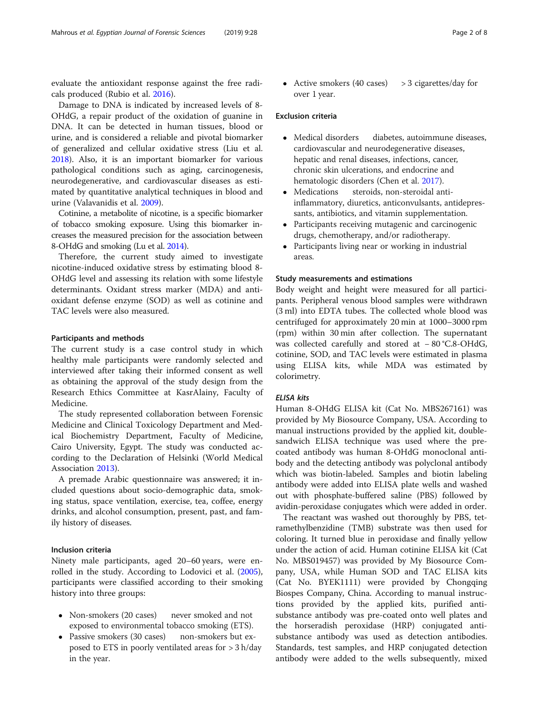evaluate the antioxidant response against the free radicals produced (Rubio et al. [2016\)](#page-7-0).

Damage to DNA is indicated by increased levels of 8- OHdG, a repair product of the oxidation of guanine in DNA. It can be detected in human tissues, blood or urine, and is considered a reliable and pivotal biomarker of generalized and cellular oxidative stress (Liu et al. [2018](#page-6-0)). Also, it is an important biomarker for various pathological conditions such as aging, carcinogenesis, neurodegenerative, and cardiovascular diseases as estimated by quantitative analytical techniques in blood and urine (Valavanidis et al. [2009](#page-7-0)).

Cotinine, a metabolite of nicotine, is a specific biomarker of tobacco smoking exposure. Using this biomarker increases the measured precision for the association between 8-OHdG and smoking (Lu et al. [2014](#page-6-0)).

Therefore, the current study aimed to investigate nicotine-induced oxidative stress by estimating blood 8- OHdG level and assessing its relation with some lifestyle determinants. Oxidant stress marker (MDA) and antioxidant defense enzyme (SOD) as well as cotinine and TAC levels were also measured.

#### Participants and methods

The current study is a case control study in which healthy male participants were randomly selected and interviewed after taking their informed consent as well as obtaining the approval of the study design from the Research Ethics Committee at KasrAlainy, Faculty of Medicine.

The study represented collaboration between Forensic Medicine and Clinical Toxicology Department and Medical Biochemistry Department, Faculty of Medicine, Cairo University, Egypt. The study was conducted according to the Declaration of Helsinki (World Medical Association [2013\)](#page-7-0).

A premade Arabic questionnaire was answered; it included questions about socio-demographic data, smoking status, space ventilation, exercise, tea, coffee, energy drinks, and alcohol consumption, present, past, and family history of diseases.

#### Inclusion criteria

Ninety male participants, aged 20–60 years, were enrolled in the study. According to Lodovici et al. ([2005](#page-6-0)), participants were classified according to their smoking history into three groups:

- Non-smokers (20 cases) never smoked and not exposed to environmental tobacco smoking (ETS).
- Passive smokers (30 cases) non-smokers but exposed to ETS in poorly ventilated areas for > 3 h/day in the year.

• Active smokers  $(40 \text{ cases})$  > 3 cigarettes/day for over 1 year.

#### Exclusion criteria

- Medical disorders diabetes, autoimmune diseases, cardiovascular and neurodegenerative diseases, hepatic and renal diseases, infections, cancer, chronic skin ulcerations, and endocrine and hematologic disorders (Chen et al. [2017\)](#page-6-0).
- Medications steroids, non-steroidal antiinflammatory, diuretics, anticonvulsants, antidepressants, antibiotics, and vitamin supplementation.
- Participants receiving mutagenic and carcinogenic drugs, chemotherapy, and/or radiotherapy.
- Participants living near or working in industrial areas.

#### Study measurements and estimations

Body weight and height were measured for all participants. Peripheral venous blood samples were withdrawn (3 ml) into EDTA tubes. The collected whole blood was centrifuged for approximately 20 min at 1000–3000 rpm (rpm) within 30 min after collection. The supernatant was collected carefully and stored at − 80 °C.8-OHdG, cotinine, SOD, and TAC levels were estimated in plasma using ELISA kits, while MDA was estimated by colorimetry.

#### ELISA kits

Human 8-OHdG ELISA kit (Cat No. MBS267161) was provided by My Biosource Company, USA. According to manual instructions provided by the applied kit, doublesandwich ELISA technique was used where the precoated antibody was human 8-OHdG monoclonal antibody and the detecting antibody was polyclonal antibody which was biotin-labeled. Samples and biotin labeling antibody were added into ELISA plate wells and washed out with phosphate-buffered saline (PBS) followed by avidin-peroxidase conjugates which were added in order.

The reactant was washed out thoroughly by PBS, tetramethylbenzidine (TMB) substrate was then used for coloring. It turned blue in peroxidase and finally yellow under the action of acid. Human cotinine ELISA kit (Cat No. MBS019457) was provided by My Biosource Company, USA, while Human SOD and TAC ELISA kits (Cat No. BYEK1111) were provided by Chongqing Biospes Company, China. According to manual instructions provided by the applied kits, purified antisubstance antibody was pre-coated onto well plates and the horseradish peroxidase (HRP) conjugated antisubstance antibody was used as detection antibodies. Standards, test samples, and HRP conjugated detection antibody were added to the wells subsequently, mixed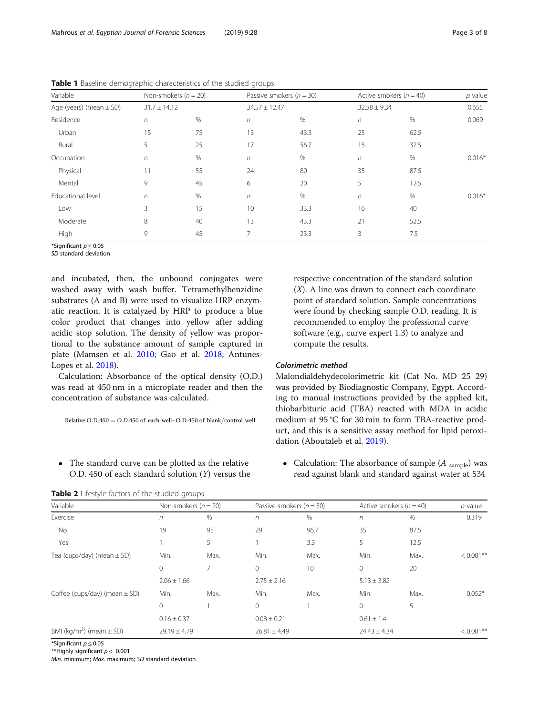| Variable                    | Non-smokers $(n = 20)$ |      |                   | Passive smokers ( $n = 30$ ) |                  | Active smokers ( $n = 40$ ) |          |  |
|-----------------------------|------------------------|------|-------------------|------------------------------|------------------|-----------------------------|----------|--|
| Age (years) (mean $\pm$ SD) | $31.7 \pm 14.12$       |      | $34.57 \pm 12.47$ |                              | $32.58 \pm 9.34$ |                             | 0.655    |  |
| Residence                   | $\sqrt{n}$             | %    | n                 | $\%$                         | $\sqrt{n}$       | %                           | 0.069    |  |
| Urban                       | 15                     | 75   | 13                | 43.3                         | 25               | 62.5                        |          |  |
| Rural                       | 5                      | 25   | 17                | 56.7                         | 15               | 37.5                        |          |  |
| Occupation                  | $\sqrt{n}$             | $\%$ | $\sqrt{n}$        | $\%$                         | $\sqrt{n}$       | $\%$                        | $0.016*$ |  |
| Physical                    | 11                     | 55   | 24                | 80                           | 35               | 87.5                        |          |  |
| Mental                      | 9                      | 45   | 6                 | 20                           | 5                | 12.5                        |          |  |
| Educational level           | $\sqrt{n}$             | %    | $\sqrt{n}$        | $\%$                         | $\sqrt{n}$       | %                           | $0.016*$ |  |
| Low                         | 3                      | 15   | 10                | 33.3                         | 16               | 40                          |          |  |
| Moderate                    | 8                      | 40   | 13                | 43.3                         | 21               | 52.5                        |          |  |
| High                        | 9                      | 45   | $\overline{7}$    | 23.3                         | 3                | 7.5                         |          |  |

<span id="page-2-0"></span>Table 1 Baseline demographic characteristics of the studied groups

\*Significant  $p \leq 0.05$ 

SD standard deviation

and incubated, then, the unbound conjugates were washed away with wash buffer. Tetramethylbenzidine substrates (A and B) were used to visualize HRP enzymatic reaction. It is catalyzed by HRP to produce a blue color product that changes into yellow after adding acidic stop solution. The density of yellow was proportional to the substance amount of sample captured in plate (Mamsen et al. [2010;](#page-6-0) Gao et al. [2018](#page-6-0); Antunes-Lopes et al. [2018\)](#page-6-0).

Calculation: Absorbance of the optical density (O.D.) was read at 450 nm in a microplate reader and then the concentration of substance was calculated.

Relative O.D.450 =  $O.D.450$  of each well-O.D.450 of blank/control well

 The standard curve can be plotted as the relative O.D. 450 of each standard solution (Y) versus the

Table 2 Lifestyle factors of the studied groups

respective concentration of the standard solution (X). A line was drawn to connect each coordinate point of standard solution. Sample concentrations were found by checking sample O.D. reading. It is recommended to employ the professional curve software (e.g., curve expert 1.3) to analyze and compute the results.

### Colorimetric method

Malondialdehydecolorimetric kit (Cat No. MD 25 29) was provided by Biodiagnostic Company, Egypt. According to manual instructions provided by the applied kit, thiobarbituric acid (TBA) reacted with MDA in acidic medium at 95 °C for 30 min to form TBA-reactive product, and this is a sensitive assay method for lipid peroxidation (Aboutaleb et al. [2019\)](#page-6-0).

• Calculation: The absorbance of sample  $(A_{sample})$  was read against blank and standard against water at 534

| Variable                                 | Non-smokers ( $n = 20$ ) |      | Passive smokers ( $n = 30$ ) |                  | Active smokers ( $n = 40$ ) |                  | $p$ value    |  |
|------------------------------------------|--------------------------|------|------------------------------|------------------|-----------------------------|------------------|--------------|--|
| Exercise                                 | $\sqrt{n}$               | $\%$ | $\sqrt{n}$                   | %                | $\sqrt{n}$                  | %                | 0.319        |  |
| No                                       | 19                       | 95   | 29                           | 96.7             | 35                          | 87.5             |              |  |
| Yes                                      |                          | 5    |                              | 3.3              | 5                           | 12.5             |              |  |
| Tea (cups/day) (mean $\pm$ SD)           | Min.                     | Max. | Min.                         | Max.             | Min.                        | Max.             | $< 0.001$ ** |  |
|                                          | $\mathbf{0}$             |      | $\mathbf{0}$                 | 10               | $\mathbf{0}$                | 20               |              |  |
|                                          | $2.06 \pm 1.66$          |      | $2.75 \pm 2.16$              |                  | $5.13 \pm 3.82$             |                  |              |  |
| Coffee (cups/day) (mean $\pm$ SD)        | Min.                     | Max. | Min.                         | Max.             | Min.                        | Max.             | $0.052*$     |  |
|                                          | $\mathbf{0}$             |      | $\Omega$                     |                  | $\Omega$                    | 5                |              |  |
|                                          | $0.16 \pm 0.37$          |      | $0.08 \pm 0.21$              |                  | $0.61 \pm 1.4$              |                  |              |  |
| BMI (kg/m <sup>2</sup> ) (mean $\pm$ SD) | $29.19 \pm 4.79$         |      |                              | $26.81 \pm 4.49$ |                             | $24.43 \pm 4.34$ |              |  |
|                                          |                          |      |                              |                  |                             |                  |              |  |

\*Significant  $p \leq 0.05$ 

\*\*Highly significant  $p < 0.001$ 

Min. minimum; Max. maximum; SD standard deviation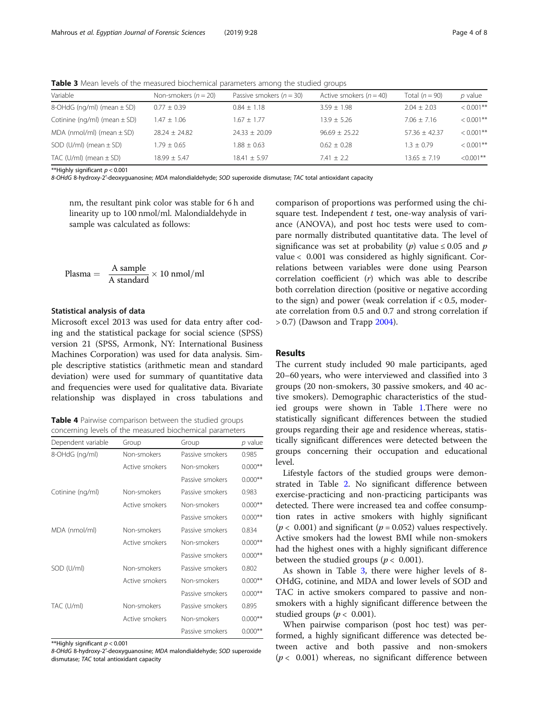| Variable                             | Non-smokers ( $n = 20$ ) | Passive smokers ( $n = 30$ ) | Active smokers ( $n = 40$ ) | Total $(n = 90)$ | p value     |
|--------------------------------------|--------------------------|------------------------------|-----------------------------|------------------|-------------|
| 8-OHdG ( $nq/ml$ ) (mean $\pm$ SD)   | $0.77 + 0.39$            | $0.84 \pm 1.18$              | $3.59 \pm 1.98$             | $2.04 + 2.03$    | $< 0.001**$ |
| Cotinine ( $nq/ml$ ) (mean $\pm$ SD) | $1.47 \pm 1.06$          | $1.67 \pm 1.77$              | $13.9 + 5.26$               | $7.06 \pm 7.16$  | $< 0.001**$ |
| MDA (nmol/ml) (mean $\pm$ SD)        | $28.24 + 24.82$          | $74.33 + 70.09$              | $96.69 + 25.22$             | $57.36 + 42.37$  | $< 0.001**$ |
| SOD (U/ml) (mean $\pm$ SD)           | $1.79 + 0.65$            | $1.88 + 0.63$                | $0.62 + 0.28$               | $1.3 + 0.79$     | $< 0.001**$ |
| TAC (U/ml) (mean $\pm$ SD)           | $18.99 + 5.47$           | $18.41 \pm 5.97$             | $7.41 \pm 2.2$              | $13.65 + 7.19$   | $< 0.001**$ |
|                                      |                          |                              |                             |                  |             |

<span id="page-3-0"></span>Table 3 Mean levels of the measured biochemical parameters among the studied groups

\*\*Highly significant  $p < 0.001$ 

8-OHdG 8-hydroxy-2′-deoxyguanosine; MDA malondialdehyde; SOD superoxide dismutase; TAC total antioxidant capacity

nm, the resultant pink color was stable for 6 h and linearity up to 100 nmol/ml. Malondialdehyde in sample was calculated as follows:

$$
\text{Plasma} = \frac{A \text{ sample}}{A \text{ standard}} \times 10 \text{ nmol/ml}
$$

#### Statistical analysis of data

Microsoft excel 2013 was used for data entry after coding and the statistical package for social science (SPSS) version 21 (SPSS, Armonk, NY: International Business Machines Corporation) was used for data analysis. Simple descriptive statistics (arithmetic mean and standard deviation) were used for summary of quantitative data and frequencies were used for qualitative data. Bivariate relationship was displayed in cross tabulations and

Table 4 Pairwise comparison between the studied groups concerning levels of the measured biochemical parameters

| Dependent variable | Group          | Group           | $p$ value |
|--------------------|----------------|-----------------|-----------|
| 8-OHdG (ng/ml)     | Non-smokers    | Passive smokers | 0.985     |
|                    | Active smokers | Non-smokers     | $0.000**$ |
|                    |                | Passive smokers | $0.000**$ |
| Cotinine (ng/ml)   | Non-smokers    | Passive smokers | 0.983     |
|                    | Active smokers | Non-smokers     | $0.000**$ |
|                    |                | Passive smokers | $0.000**$ |
| MDA (nmol/ml)      | Non-smokers    | Passive smokers | 0.834     |
|                    | Active smokers | Non-smokers     | $0.000**$ |
|                    |                | Passive smokers | $0.000**$ |
| SOD (U/ml)         | Non-smokers    | Passive smokers | 0.802     |
|                    | Active smokers | Non-smokers     | $0.000**$ |
|                    |                | Passive smokers | $0.000**$ |
| TAC (U/ml)         | Non-smokers    | Passive smokers | 0.895     |
|                    | Active smokers | Non-smokers     | $0.000**$ |
|                    |                | Passive smokers | $0.000**$ |

\*\*Highly significant  $p < 0.001$ 

8-OHdG 8-hydroxy-2′-deoxyguanosine; MDA malondialdehyde; SOD superoxide dismutase; TAC total antioxidant capacity

comparison of proportions was performed using the chisquare test. Independent  $t$  test, one-way analysis of variance (ANOVA), and post hoc tests were used to compare normally distributed quantitative data. The level of significance was set at probability (p) value  $\leq 0.05$  and p value < 0.001 was considered as highly significant. Correlations between variables were done using Pearson correlation coefficient (r) which was able to describe both correlation direction (positive or negative according to the sign) and power (weak correlation if  $< 0.5$ , moderate correlation from 0.5 and 0.7 and strong correlation if  $> 0.7$ ) (Dawson and Trapp [2004](#page-6-0)).

#### Results

The current study included 90 male participants, aged 20–60 years, who were interviewed and classified into 3 groups (20 non-smokers, 30 passive smokers, and 40 active smokers). Demographic characteristics of the studied groups were shown in Table [1](#page-2-0).There were no statistically significant differences between the studied groups regarding their age and residence whereas, statistically significant differences were detected between the groups concerning their occupation and educational level.

Lifestyle factors of the studied groups were demonstrated in Table [2.](#page-2-0) No significant difference between exercise-practicing and non-practicing participants was detected. There were increased tea and coffee consumption rates in active smokers with highly significant ( $p < 0.001$ ) and significant ( $p = 0.052$ ) values respectively. Active smokers had the lowest BMI while non-smokers had the highest ones with a highly significant difference between the studied groups ( $p < 0.001$ ).

As shown in Table 3, there were higher levels of 8- OHdG, cotinine, and MDA and lower levels of SOD and TAC in active smokers compared to passive and nonsmokers with a highly significant difference between the studied groups ( $p < 0.001$ ).

When pairwise comparison (post hoc test) was performed, a highly significant difference was detected between active and both passive and non-smokers  $(p < 0.001)$  whereas, no significant difference between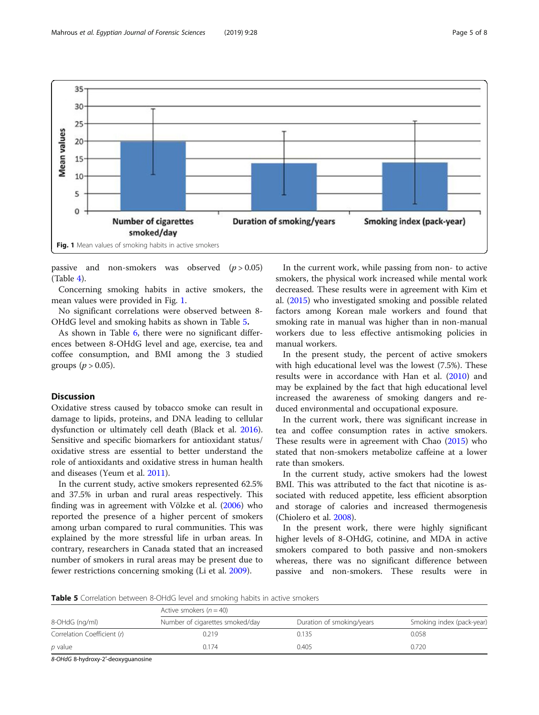

passive and non-smokers was observed  $(p > 0.05)$ (Table [4\)](#page-3-0).

Concerning smoking habits in active smokers, the mean values were provided in Fig. 1.

No significant correlations were observed between 8- OHdG level and smoking habits as shown in Table 5.

As shown in Table [6,](#page-5-0) there were no significant differences between 8-OHdG level and age, exercise, tea and coffee consumption, and BMI among the 3 studied groups ( $p > 0.05$ ).

# Discussion

Oxidative stress caused by tobacco smoke can result in damage to lipids, proteins, and DNA leading to cellular dysfunction or ultimately cell death (Black et al. [2016](#page-6-0)). Sensitive and specific biomarkers for antioxidant status/ oxidative stress are essential to better understand the role of antioxidants and oxidative stress in human health and diseases (Yeum et al. [2011\)](#page-7-0).

In the current study, active smokers represented 62.5% and 37.5% in urban and rural areas respectively. This finding was in agreement with Völzke et al. ([2006](#page-7-0)) who reported the presence of a higher percent of smokers among urban compared to rural communities. This was explained by the more stressful life in urban areas. In contrary, researchers in Canada stated that an increased number of smokers in rural areas may be present due to fewer restrictions concerning smoking (Li et al. [2009\)](#page-6-0).

In the current work, while passing from non- to active smokers, the physical work increased while mental work decreased. These results were in agreement with Kim et al. [\(2015\)](#page-6-0) who investigated smoking and possible related factors among Korean male workers and found that smoking rate in manual was higher than in non-manual workers due to less effective antismoking policies in manual workers.

In the present study, the percent of active smokers with high educational level was the lowest (7.5%). These results were in accordance with Han et al. [\(2010\)](#page-6-0) and may be explained by the fact that high educational level increased the awareness of smoking dangers and reduced environmental and occupational exposure.

In the current work, there was significant increase in tea and coffee consumption rates in active smokers. These results were in agreement with Chao ([2015](#page-6-0)) who stated that non-smokers metabolize caffeine at a lower rate than smokers.

In the current study, active smokers had the lowest BMI. This was attributed to the fact that nicotine is associated with reduced appetite, less efficient absorption and storage of calories and increased thermogenesis (Chiolero et al. [2008](#page-6-0)).

In the present work, there were highly significant higher levels of 8-OHdG, cotinine, and MDA in active smokers compared to both passive and non-smokers whereas, there was no significant difference between passive and non-smokers. These results were in

**Table 5** Correlation between 8-OHdG level and smoking habits in active smokers

| 8-OHdG (ng/ml)              | Active smokers $(n = 40)$       |                           |                           |  |  |  |  |  |  |  |
|-----------------------------|---------------------------------|---------------------------|---------------------------|--|--|--|--|--|--|--|
|                             | Number of cigarettes smoked/day | Duration of smoking/years | Smoking index (pack-year) |  |  |  |  |  |  |  |
| Correlation Coefficient (r) | 0.219                           | J.135                     | 0.058                     |  |  |  |  |  |  |  |
| p value                     | 0.174                           | 0.405                     | 0.720                     |  |  |  |  |  |  |  |

8-OHdG 8-hydroxy-2′-deoxyguanosine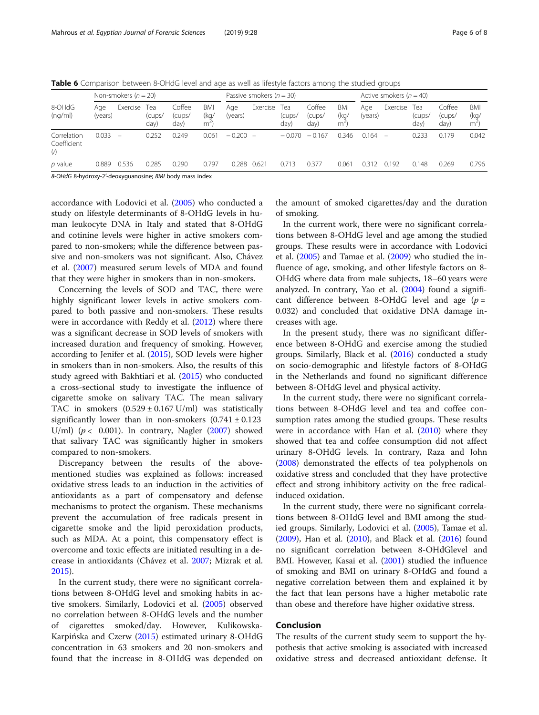<span id="page-5-0"></span>Table 6 Comparison between 8-OHdG level and age as well as lifestyle factors among the studied groups

| 8-OHdG<br>(nq/ml)                 | Non-smokers $(n = 20)$ |          |                       |                          |                  | Passive smokers ( $n = 30$ ) |                          |                       |                          | Active smokers $(n = 40)$ |                |                   |                       |                          |                         |
|-----------------------------------|------------------------|----------|-----------------------|--------------------------|------------------|------------------------------|--------------------------|-----------------------|--------------------------|---------------------------|----------------|-------------------|-----------------------|--------------------------|-------------------------|
|                                   | Age<br>(years)         | Exercise | Tea<br>(cups/<br>day) | Coffee<br>(cups/<br>day) | BMI<br>(ka/<br>m | Age<br>(years)               | Exercise                 | Tea<br>(cups/<br>day) | Coffee<br>(cups/<br>day) | BMI<br>(kg/<br>m          | Age<br>(years) | Exercise          | Tea<br>(cups/<br>day) | Coffee<br>(cups/<br>day) | <b>BMI</b><br>(kg/<br>m |
| Correlation<br>Coefficient<br>(r) | 0.033                  | $\equiv$ | 0.252                 | 0.249                    | 0.061            | $-0.200$                     | $\overline{\phantom{0}}$ | $-0.070$              | $-0.167$                 | 0.346                     | 0.164          | $\qquad \qquad -$ | 0.233                 | 0.179                    | 0.042                   |
| $p$ value                         | 0.889                  | 0.536    | 0.285                 | 0.290                    | 0.797            | 0.288                        | 0.621                    | 0.713                 | 0.377                    | 0.061                     | 0.312          | 0.192             | 0.148                 | 0.269                    | 0.796                   |

8-OHdG 8-hydroxy-2′-deoxyguanosine; BMI body mass index

accordance with Lodovici et al. ([2005](#page-6-0)) who conducted a study on lifestyle determinants of 8-OHdG levels in human leukocyte DNA in Italy and stated that 8-OHdG and cotinine levels were higher in active smokers compared to non-smokers; while the difference between passive and non-smokers was not significant. Also, Chávez et al. [\(2007\)](#page-6-0) measured serum levels of MDA and found that they were higher in smokers than in non-smokers.

Concerning the levels of SOD and TAC, there were highly significant lower levels in active smokers compared to both passive and non-smokers. These results were in accordance with Reddy et al. ([2012](#page-7-0)) where there was a significant decrease in SOD levels of smokers with increased duration and frequency of smoking. However, according to Jenifer et al. [\(2015\)](#page-6-0), SOD levels were higher in smokers than in non-smokers. Also, the results of this study agreed with Bakhtiari et al. ([2015](#page-6-0)) who conducted a cross-sectional study to investigate the influence of cigarette smoke on salivary TAC. The mean salivary TAC in smokers  $(0.529 \pm 0.167 \text{ U/ml})$  was statistically significantly lower than in non-smokers  $(0.741 \pm 0.123)$ U/ml) ( $p < 0.001$ ). In contrary, Nagler ([2007\)](#page-7-0) showed that salivary TAC was significantly higher in smokers compared to non-smokers.

Discrepancy between the results of the abovementioned studies was explained as follows: increased oxidative stress leads to an induction in the activities of antioxidants as a part of compensatory and defense mechanisms to protect the organism. These mechanisms prevent the accumulation of free radicals present in cigarette smoke and the lipid peroxidation products, such as MDA. At a point, this compensatory effect is overcome and toxic effects are initiated resulting in a decrease in antioxidants (Chávez et al. [2007;](#page-6-0) Mizrak et al. [2015](#page-6-0)).

In the current study, there were no significant correlations between 8-OHdG level and smoking habits in active smokers. Similarly, Lodovici et al. ([2005](#page-6-0)) observed no correlation between 8-OHdG levels and the number of cigarettes smoked/day. However, Kulikowska-Karpińska and Czerw [\(2015\)](#page-6-0) estimated urinary 8-OHdG concentration in 63 smokers and 20 non-smokers and found that the increase in 8-OHdG was depended on

the amount of smoked cigarettes/day and the duration of smoking.

In the current work, there were no significant correlations between 8-OHdG level and age among the studied groups. These results were in accordance with Lodovici et al. ([2005\)](#page-6-0) and Tamae et al. ([2009](#page-7-0)) who studied the influence of age, smoking, and other lifestyle factors on 8- OHdG where data from male subjects, 18–60 years were analyzed. In contrary, Yao et al. ([2004](#page-7-0)) found a significant difference between 8-OHdG level and age  $(p =$ 0.032) and concluded that oxidative DNA damage increases with age.

In the present study, there was no significant difference between 8-OHdG and exercise among the studied groups. Similarly, Black et al. ([2016](#page-6-0)) conducted a study on socio-demographic and lifestyle factors of 8-OHdG in the Netherlands and found no significant difference between 8-OHdG level and physical activity.

In the current study, there were no significant correlations between 8-OHdG level and tea and coffee consumption rates among the studied groups. These results were in accordance with Han et al. ([2010](#page-6-0)) where they showed that tea and coffee consumption did not affect urinary 8-OHdG levels. In contrary, Raza and John ([2008\)](#page-7-0) demonstrated the effects of tea polyphenols on oxidative stress and concluded that they have protective effect and strong inhibitory activity on the free radicalinduced oxidation.

In the current study, there were no significant correlations between 8-OHdG level and BMI among the studied groups. Similarly, Lodovici et al. [\(2005\)](#page-6-0), Tamae et al. ([2009\)](#page-7-0), Han et al. [\(2010\)](#page-6-0), and Black et al. ([2016](#page-6-0)) found no significant correlation between 8-OHdGlevel and BMI. However, Kasai et al. [\(2001\)](#page-6-0) studied the influence of smoking and BMI on urinary 8-OHdG and found a negative correlation between them and explained it by the fact that lean persons have a higher metabolic rate than obese and therefore have higher oxidative stress.

#### Conclusion

The results of the current study seem to support the hypothesis that active smoking is associated with increased oxidative stress and decreased antioxidant defense. It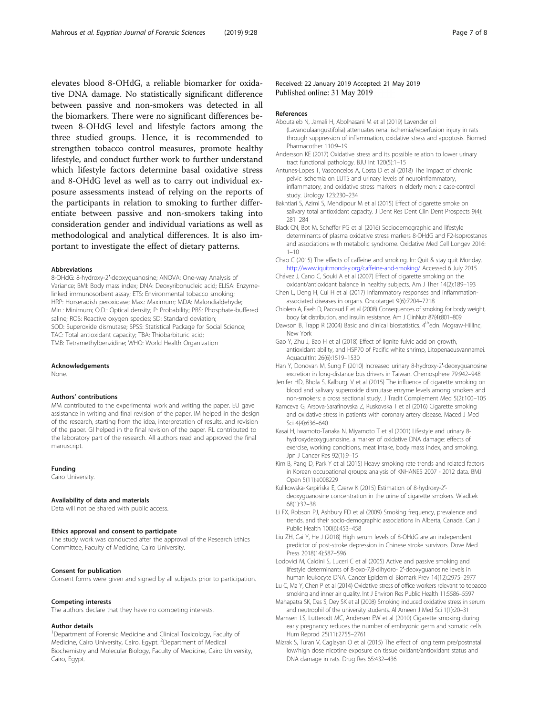<span id="page-6-0"></span>elevates blood 8-OHdG, a reliable biomarker for oxidative DNA damage. No statistically significant difference between passive and non-smokers was detected in all the biomarkers. There were no significant differences between 8-OHdG level and lifestyle factors among the three studied groups. Hence, it is recommended to strengthen tobacco control measures, promote healthy lifestyle, and conduct further work to further understand which lifestyle factors determine basal oxidative stress and 8-OHdG level as well as to carry out individual exposure assessments instead of relying on the reports of the participants in relation to smoking to further differentiate between passive and non-smokers taking into consideration gender and individual variations as well as methodological and analytical differences. It is also important to investigate the effect of dietary patterns.

#### Abbreviations

8-OHdG: 8-hydroxy-2′-deoxyguanosine; ANOVA: One-way Analysis of Variance; BMI: Body mass index; DNA: Deoxyribonucleic acid; ELISA: Enzymelinked immunosorbent assay; ETS: Environmental tobacco smoking; HRP: Horseradish peroxidase; Max.: Maximum; MDA: Malondialdehyde; Min.: Minimum; O.D.: Optical density; P: Probability; PBS: Phosphate-buffered saline; ROS: Reactive oxygen species; SD: Standard deviation; SOD: Superoxide dismutase; SPSS: Statistical Package for Social Science; TAC: Total antioxidant capacity; TBA: Thiobarbituric acid; TMB: Tetramethylbenzidine; WHO: World Health Organization

#### Acknowledgements

None.

#### Authors' contributions

MM contributed to the experimental work and writing the paper. EU gave assistance in writing and final revision of the paper. IM helped in the design of the research, starting from the idea, interpretation of results, and revision of the paper. GI helped in the final revision of the paper. RL contributed to the laboratory part of the research. All authors read and approved the final manuscript.

#### Funding

Cairo University.

#### Availability of data and materials

Data will not be shared with public access.

#### Ethics approval and consent to participate

The study work was conducted after the approval of the Research Ethics Committee, Faculty of Medicine, Cairo University.

#### Consent for publication

Consent forms were given and signed by all subjects prior to participation.

#### Competing interests

The authors declare that they have no competing interests.

#### Author details

<sup>1</sup>Department of Forensic Medicine and Clinical Toxicology, Faculty of Medicine, Cairo University, Cairo, Egypt. <sup>2</sup>Department of Medical Biochemistry and Molecular Biology, Faculty of Medicine, Cairo University, Cairo, Egypt.

#### Received: 22 January 2019 Accepted: 21 May 2019 Published online: 31 May 2019

#### References

- Aboutaleb N, Jamali H, Abolhasani M et al (2019) Lavender oil (Lavandulaangustifolia) attenuates renal ischemia/reperfusion injury in rats through suppression of inflammation, oxidative stress and apoptosis. Biomed Pharmacother 110:9–19
- Andersson KE (2017) Oxidative stress and its possible relation to lower urinary tract functional pathology. BJU Int 120(5):1–15
- Antunes-Lopes T, Vasconcelos A, Costa D et al (2018) The impact of chronic pelvic ischemia on LUTS and urinary levels of neuroinflammatory, inflammatory, and oxidative stress markers in elderly men: a case-control study. Urology 123:230–234
- Bakhtiari S, Azimi S, Mehdipour M et al (2015) Effect of cigarette smoke on salivary total antioxidant capacity. J Dent Res Dent Clin Dent Prospects 9(4): 281–284
- Black CN, Bot M, Scheffer PG et al (2016) Sociodemographic and lifestyle determinants of plasma oxidative stress markers 8-OHdG and F2-Isoprostanes and associations with metabolic syndrome. Oxidative Med Cell Longev 2016:  $1 - 10$
- Chao C (2015) The effects of caffeine and smoking. In: Quit & stay quit Monday. <http://www.iquitmonday.org/caffeine-and-smoking/> Accessed 6 July 2015
- Chávez J, Cano C, Souki A et al (2007) Effect of cigarette smoking on the oxidant/antioxidant balance in healthy subjects. Am J Ther 14(2):189–193 Chen L, Deng H, Cui H et al (2017) Inflammatory responses and inflammation-
- associated diseases in organs. Oncotarget 9(6):7204–7218
- Chiolero A, Faeh D, Paccaud F et al (2008) Consequences of smoking for body weight, body fat distribution, and insulin resistance. Am J ClinNutr 87(4):801–809
- Dawson B, Trapp R (2004) Basic and clinical biostatistics. 4<sup>th</sup>edn. Mcgraw-HillInc, New York
- Gao Y, Zhu J, Bao H et al (2018) Effect of lignite fulvic acid on growth, antioxidant ability, and HSP70 of Pacific white shrimp, Litopenaeusvannamei. AquacultInt 26(6):1519–1530
- Han Y, Donovan M, Sung F (2010) Increased urinary 8-hydroxy-2′-deoxyguanosine excretion in long-distance bus drivers in Taiwan. Chemosphere 79:942–948
- Jenifer HD, Bhola S, Kalburgi V et al (2015) The influence of cigarette smoking on blood and salivary superoxide dismutase enzyme levels among smokers and non-smokers: a cross sectional study. J Tradit Complement Med 5(2):100–105
- Kamceva G, Arsova-Sarafinovska Z, Ruskovska T et al (2016) Cigarette smoking and oxidative stress in patients with coronary artery disease. Maced J Med Sci 4(4):636–640
- Kasai H, Iwamoto-Tanaka N, Miyamoto T et al (2001) Lifestyle and urinary 8 hydroxydeoxyguanosine, a marker of oxidative DNA damage: effects of exercise, working conditions, meat intake, body mass index, and smoking. Jpn J Cancer Res 92(1):9–15
- Kim B, Pang D, Park Y et al (2015) Heavy smoking rate trends and related factors in Korean occupational groups: analysis of KNHANES 2007 - 2012 data. BMJ Open 5(11):e008229
- Kulikowska-Karpińska E, Czerw K (2015) Estimation of 8-hydroxy-2′ deoxyguanosine concentration in the urine of cigarette smokers. WiadLek 68(1):32–38
- Li FX, Robson PJ, Ashbury FD et al (2009) Smoking frequency, prevalence and trends, and their socio-demographic associations in Alberta, Canada. Can J Public Health 100(6):453–458
- Liu ZH, Cai Y, He J (2018) High serum levels of 8-OHdG are an independent predictor of post-stroke depression in Chinese stroke survivors. Dove Med Press 2018(14):587–596
- Lodovici M, Caldini S, Luceri C et al (2005) Active and passive smoking and lifestyle determinants of 8-oxo-7,8-dihydro- 2′-deoxyguanosine levels in human leukocyte DNA. Cancer Epidemiol Biomark Prev 14(12):2975–2977
- Lu C, Ma Y, Chen P et al (2014) Oxidative stress of office workers relevant to tobacco smoking and inner air quality. Int J Environ Res Public Health 11:5586–5597
- Mahapatra SK, Das S, Dey SK et al (2008) Smoking induced oxidative stress in serum and neutrophil of the university students. Al Ameen J Med Sci 1(1):20–31
- Mamsen LS, Lutterodt MC, Andersen EW et al (2010) Cigarette smoking during early pregnancy reduces the number of embryonic germ and somatic cells. Hum Reprod 25(11):2755–2761
- Mizrak S, Turan V, Caglayan O et al (2015) The effect of long term pre/postnatal low/high dose nicotine exposure on tissue oxidant/antioxidant status and DNA damage in rats. Drug Res 65:432–436